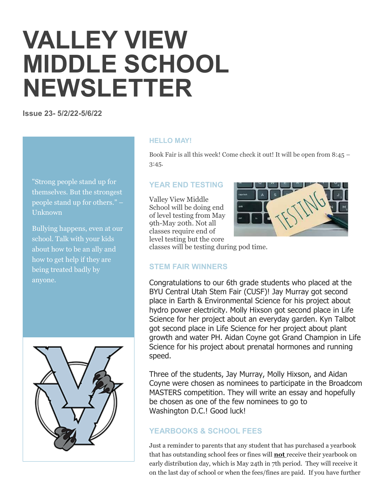# **VALLEY VIEW MIDDLE SCHOOL NEWSLETTER**

**Issue 23- 5/2/22-5/6/22**

"Strong people stand up for themselves. But the strongest people stand up for others." – Unknown

Bullying happens, even at our school. Talk with your kids about how to be an ally and how to get help if they are being treated badly by anyone.



#### **HELLO MAY!**

Book Fair is all this week! Come check it out! It will be open from 8:45 – 3:45.

#### **YEAR END TESTING**

Valley View Middle School will be doing end of level testing from May 9th-May 20th. Not all classes require end of level testing but the core



classes will be testing during pod time.

### **STEM FAIR WINNERS**

Congratulations to our 6th grade students who placed at the BYU Central Utah Stem Fair (CUSF)! Jay Murray got second place in Earth & Environmental Science for his project about hydro power electricity. Molly Hixson got second place in Life Science for her project about an everyday garden. Kyn Talbot got second place in Life Science for her project about plant growth and water PH. Aidan Coyne got Grand Champion in Life Science for his project about prenatal hormones and running speed.

Three of the students, Jay Murray, Molly Hixson, and Aidan Coyne were chosen as nominees to participate in the Broadcom MASTERS competition. They will write an essay and hopefully be chosen as one of the few nominees to go to Washington D.C.! Good luck!

## **YEARBOOKS & SCHOOL FEES**

Just a reminder to parents that any student that has purchased a yearbook that has outstanding school fees or fines will **not** receive their yearbook on early distribution day, which is May 24th in 7th period. They will receive it on the last day of school or when the fees/fines are paid. If you have further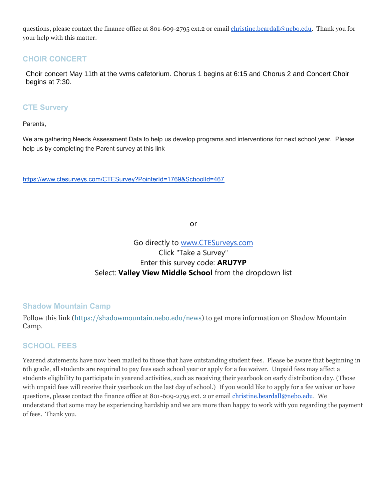questions, please contact the finance office at 801-609-2795 ext.2 or email [christine.beardall@nebo.edu.](mailto:christine.beardall@nebo.edu) Thank you for your help with this matter.

## **CHOIR CONCERT**

Choir concert May 11th at the vvms cafetorium. Chorus 1 begins at 6:15 and Chorus 2 and Concert Choir begins at 7:30.

#### **CTE Survery**

Parents,

We are gathering Needs Assessment Data to help us develop programs and interventions for next school year. Please help us by completing the Parent survey at this link

<https://www.ctesurveys.com/CTESurvey?PointerId=1769&SchoolId=467>

or

# Go directly to [www.CTESurveys.com](http://www.ctesurveys.com/) Click "Take a Survey" Enter this survey code: **ARU7YP** Select: **Valley View Middle School** from the dropdown list

### **Shadow Mountain Camp**

Follow this link [\(https://shadowmountain.nebo.edu/news\)](https://shadowmountain.nebo.edu/news) to get more information on Shadow Mountain Camp.

## **SCHOOL FEES**

Yearend statements have now been mailed to those that have outstanding student fees. Please be aware that beginning in 6th grade, all students are required to pay fees each school year or apply for a fee waiver. Unpaid fees may affect a students eligibility to participate in yearend activities, such as receiving their yearbook on early distribution day. (Those with unpaid fees will receive their yearbook on the last day of school.) If you would like to apply for a fee waiver or have questions, please contact the finance office at 801-609-2795 ext. 2 or email [christine.beardall@nebo.edu.](mailto:christine.beardall@nebo.edu) We understand that some may be experiencing hardship and we are more than happy to work with you regarding the payment of fees. Thank you.